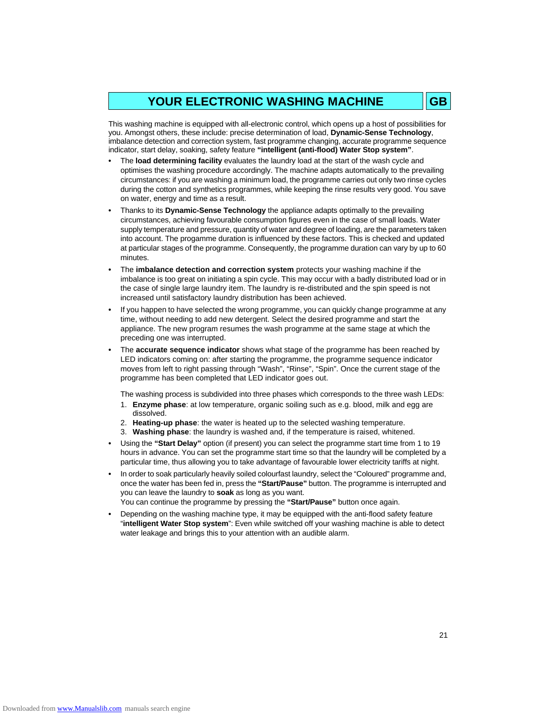# YOUR ELECTRONIC WASHING MACHINE **GB**

This washing machine is equipped with all-electronic control, which opens up a host of possibilities for you. Amongst others, these include: precise determination of load, **Dynamic-Sense Technology**, imbalance detection and correction system, fast programme changing, accurate programme sequence indicator, start delay, soaking, safety feature **"intelligent (anti-flood) Water Stop system"**.

- **•** The **load determining facility** evaluates the laundry load at the start of the wash cycle and optimises the washing procedure accordingly. The machine adapts automatically to the prevailing circumstances: if you are washing a minimum load, the programme carries out only two rinse cycles during the cotton and synthetics programmes, while keeping the rinse results very good. You save on water, energy and time as a result.
- **•** Thanks to its **Dynamic-Sense Technology** the appliance adapts optimally to the prevailing circumstances, achieving favourable consumption figures even in the case of small loads. Water supply temperature and pressure, quantity of water and degree of loading, are the parameters taken into account. The progamme duration is influenced by these factors. This is checked and updated at particular stages of the programme. Consequently, the programme duration can vary by up to 60 minutes.
- **•** The **imbalance detection and correction system** protects your washing machine if the imbalance is too great on initiating a spin cycle. This may occur with a badly distributed load or in the case of single large laundry item. The laundry is re-distributed and the spin speed is not increased until satisfactory laundry distribution has been achieved.
- **•** If you happen to have selected the wrong programme, you can quickly change programme at any time, without needing to add new detergent. Select the desired programme and start the appliance. The new program resumes the wash programme at the same stage at which the preceding one was interrupted.
- **•** The **accurate sequence indicator** shows what stage of the programme has been reached by LED indicators coming on: after starting the programme, the programme sequence indicator moves from left to right passing through "Wash", "Rinse", "Spin". Once the current stage of the programme has been completed that LED indicator goes out.

The washing process is subdivided into three phases which corresponds to the three wash LEDs:

- 1. **Enzyme phase**: at low temperature, organic soiling such as e.g. blood, milk and egg are dissolved.
- 2. **Heating-up phase**: the water is heated up to the selected washing temperature.
- 3. **Washing phase**: the laundry is washed and, if the temperature is raised, whitened.
- **•** Using the **"Start Delay"** option (if present) you can select the programme start time from 1 to 19 hours in advance. You can set the programme start time so that the laundry will be completed by a particular time, thus allowing you to take advantage of favourable lower electricity tariffs at night.
- **•** In order to soak particularly heavily soiled colourfast laundry, select the "Coloured" programme and, once the water has been fed in, press the **"Start/Pause"** button. The programme is interrupted and you can leave the laundry to **soak** as long as you want. You can continue the programme by pressing the **"Start/Pause"** button once again.
- **•** Depending on the washing machine type, it may be equipped with the anti-flood safety feature "**intelligent Water Stop system**": Even while switched off your washing machine is able to detect water leakage and brings this to your attention with an audible alarm.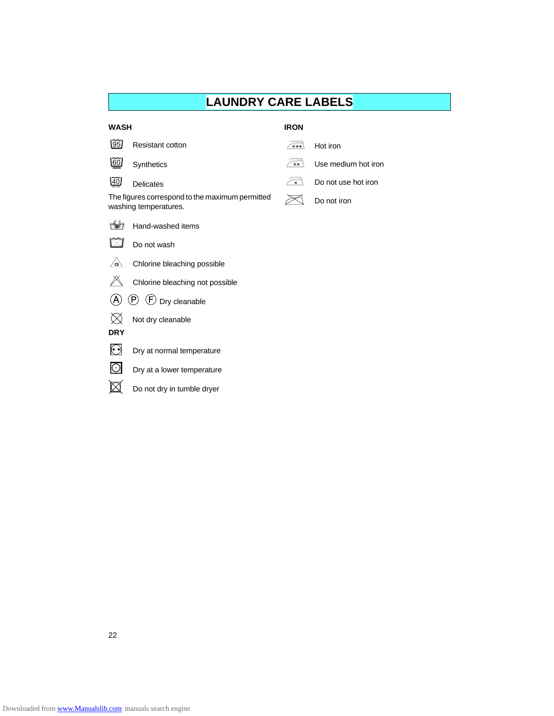# **LAUNDRY CARE LABELS**

| <b>WASH</b>                                                              |                                 | <b>IRON</b> |                     |  |
|--------------------------------------------------------------------------|---------------------------------|-------------|---------------------|--|
| 05                                                                       | <b>Resistant cotton</b>         |             | Hot iron            |  |
| 60                                                                       | Synthetics                      |             | Use medium hot iron |  |
| $\widetilde{40}$                                                         | Delicates                       | ٠           | Do not use hot iron |  |
| The figures correspond to the maximum permitted<br>washing temperatures. |                                 |             | Do not iron         |  |
|                                                                          | Hand-washed items               |             |                     |  |
|                                                                          | Do not wash                     |             |                     |  |
| $\sqrt{a}$                                                               | Chlorine bleaching possible     |             |                     |  |
|                                                                          | Chlorine bleaching not possible |             |                     |  |
| $(\mathsf{P})$<br>$\left(\overline{F}\right)$ Dry cleanable              |                                 |             |                     |  |
|                                                                          | Not dry cleanable               |             |                     |  |
| <b>DRY</b>                                                               |                                 |             |                     |  |
|                                                                          | Dry at normal temperature       |             |                     |  |
|                                                                          | Dry at a lower temperature      |             |                     |  |
|                                                                          | Do not dry in tumble dryer      |             |                     |  |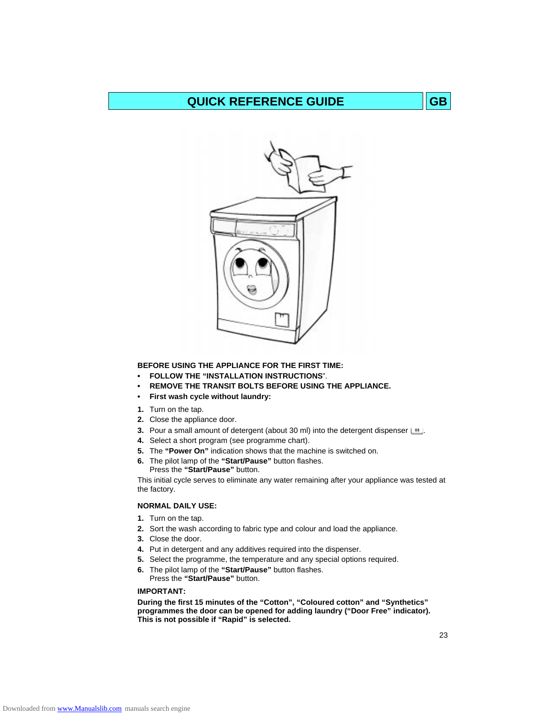# **QUICK REFERENCE GUIDE GB**



**BEFORE USING THE APPLIANCE FOR THE FIRST TIME:**

- **FOLLOW THE "INSTALLATION INSTRUCTIONS**".
- **REMOVE THE TRANSIT BOLTS BEFORE USING THE APPLIANCE.**
- **First wash cycle without laundry:**
- **1.** Turn on the tap.
- **2.** Close the appliance door.
- **3.** Pour a small amount of detergent (about 30 ml) into the detergent dispenser  $\Box$ .
- **4.** Select a short program (see programme chart).
- **5.** The **"Power On"** indication shows that the machine is switched on.
- **6.** The pilot lamp of the **"Start/Pause"** button flashes. Press the **"Start/Pause"** button.

This initial cycle serves to eliminate any water remaining after your appliance was tested at the factory.

### **NORMAL DAILY USE:**

- **1.** Turn on the tap.
- **2.** Sort the wash according to fabric type and colour and load the appliance.
- **3.** Close the door.
- **4.** Put in detergent and any additives required into the dispenser.
- **5.** Select the programme, the temperature and any special options required.
- **6.** The pilot lamp of the **"Start/Pause"** button flashes. Press the **"Start/Pause"** button.

### **IMPORTANT:**

**During the first 15 minutes of the "Cotton", "Coloured cotton" and "Synthetics" programmes the door can be opened for adding laundry ("Door Free" indicator). This is not possible if "Rapid" is selected.**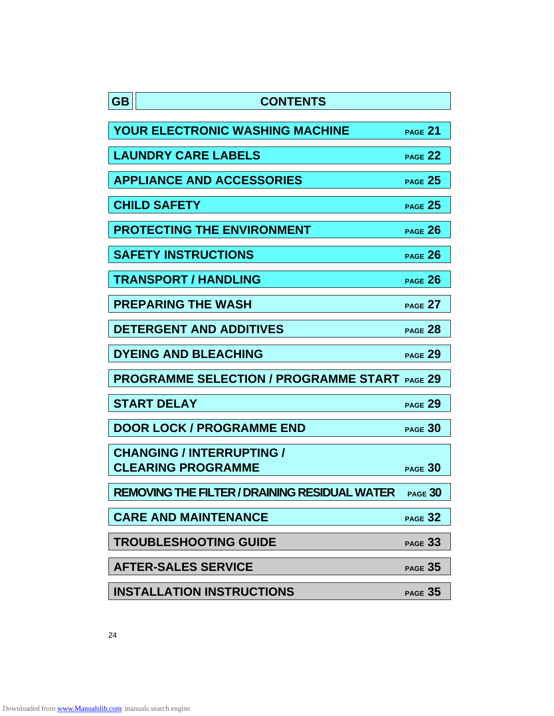| <b>GB</b> | <b>CONTENTS</b>                                               |                |
|-----------|---------------------------------------------------------------|----------------|
|           | <b>YOUR ELECTRONIC WASHING MACHINE</b>                        | PAGE 21        |
|           | <b>LAUNDRY CARE LABELS</b>                                    | PAGE 22        |
|           | <b>APPLIANCE AND ACCESSORIES</b>                              | PAGE 25        |
|           | <b>CHILD SAFETY</b>                                           | PAGE 25        |
|           | <b>PROTECTING THE ENVIRONMENT</b>                             | PAGE 26        |
|           | <b>SAFETY INSTRUCTIONS</b>                                    | PAGE 26        |
|           | <b>TRANSPORT / HANDLING</b>                                   | PAGE 26        |
|           | <b>PREPARING THE WASH</b>                                     | PAGE 27        |
|           | <b>DETERGENT AND ADDITIVES</b>                                | PAGE 28        |
|           | <b>DYEING AND BLEACHING</b>                                   | PAGE 29        |
|           | <b>PROGRAMME SELECTION / PROGRAMME START PAGE 29</b>          |                |
|           | <b>START DELAY</b>                                            | PAGE 29        |
|           | <b>DOOR LOCK / PROGRAMME END</b>                              | PAGE 30        |
|           | <b>CHANGING / INTERRUPTING /</b><br><b>CLEARING PROGRAMME</b> | PAGE 30        |
|           | <b>REMOVING THE FILTER / DRAINING RESIDUAL WATER</b>          | <b>PAGE 30</b> |
|           | <b>CARE AND MAINTENANCE</b>                                   | PAGE 32        |
|           | <b>TROUBLESHOOTING GUIDE</b>                                  | PAGE 33        |
|           | <b>AFTER-SALES SERVICE</b>                                    | PAGE 35        |
|           | <b>INSTALLATION INSTRUCTIONS</b>                              | PAGE 35        |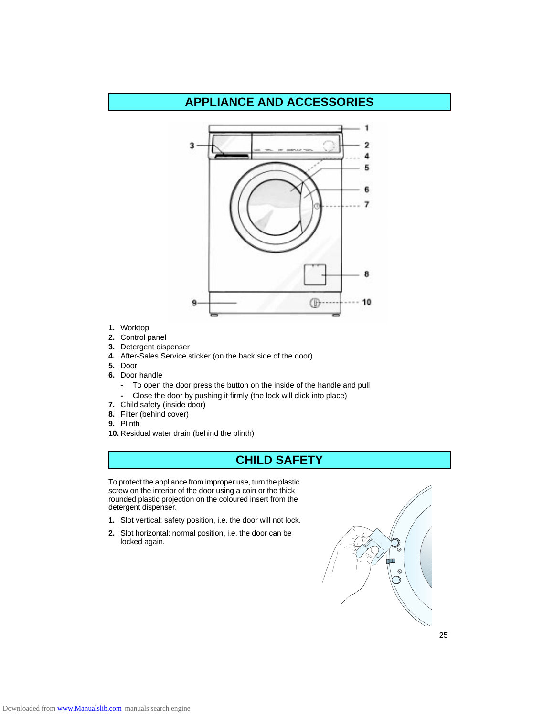# **APPLIANCE AND ACCESSORIES**



- **1.** Worktop
- **2.** Control panel
- **3.** Detergent dispenser
- **4.** After-Sales Service sticker (on the back side of the door)
- **5.** Door
- **6.** Door handle
	- **-** To open the door press the button on the inside of the handle and pull
	- **-** Close the door by pushing it firmly (the lock will click into place)
- **7.** Child safety (inside door)
- **8.** Filter (behind cover)
- **9.** Plinth
- **10.** Residual water drain (behind the plinth)

# **CHILD SAFETY**

To protect the appliance from improper use, turn the plastic screw on the interior of the door using a coin or the thick rounded plastic projection on the coloured insert from the detergent dispenser.

- **1.** Slot vertical: safety position, i.e. the door will not lock.
- **2.** Slot horizontal: normal position, i.e. the door can be locked again.

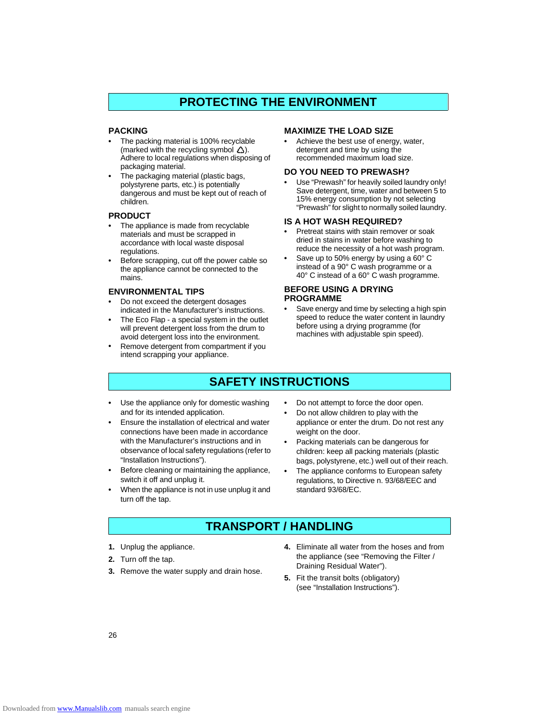# **PROTECTING THE ENVIRONMENT**

### **PACKING**

- **•** The packing material is 100% recyclable (marked with the recycling symbol  $\triangle$ ). Adhere to local regulations when disposing of packaging material.
- **•** The packaging material (plastic bags, polystyrene parts, etc.) is potentially dangerous and must be kept out of reach of children.

### **PRODUCT**

- **•** The appliance is made from recyclable materials and must be scrapped in accordance with local waste disposal regulations.
- **•** Before scrapping, cut off the power cable so the appliance cannot be connected to the mains.

### **ENVIRONMENTAL TIPS**

- **•** Do not exceed the detergent dosages indicated in the Manufacturer's instructions.
- **•** The Eco Flap a special system in the outlet will prevent detergent loss from the drum to avoid detergent loss into the environment.
- **•** Remove detergent from compartment if you intend scrapping your appliance.

### **MAXIMIZE THE LOAD SIZE**

**•** Achieve the best use of energy, water, detergent and time by using the recommended maximum load size.

### **DO YOU NEED TO PREWASH?**

**•** Use "Prewash" for heavily soiled laundry only! Save detergent, time, water and between 5 to 15% energy consumption by not selecting "Prewash" for slight to normally soiled laundry.

### **IS A HOT WASH REQUIRED?**

- **•** Pretreat stains with stain remover or soak dried in stains in water before washing to reduce the necessity of a hot wash program.
- **•** Save up to 50% energy by using a 60° C instead of a 90° C wash programme or a 40° C instead of a 60° C wash programme.

### **BEFORE USING A DRYING PROGRAMME**

**•** Save energy and time by selecting a high spin speed to reduce the water content in laundry before using a drying programme (for machines with adjustable spin speed).

# **SAFETY INSTRUCTIONS**

- **•** Use the appliance only for domestic washing and for its intended application.
- **•** Ensure the installation of electrical and water connections have been made in accordance with the Manufacturer's instructions and in observance of local safety regulations (refer to "Installation Instructions").
- **•** Before cleaning or maintaining the appliance, switch it off and unplug it.
- **•** When the appliance is not in use unplug it and turn off the tap.
- **•** Do not attempt to force the door open.
- **•** Do not allow children to play with the appliance or enter the drum. Do not rest any weight on the door.
- **•** Packing materials can be dangerous for children: keep all packing materials (plastic bags, polystyrene, etc.) well out of their reach.
- **•** The appliance conforms to European safety regulations, to Directive n. 93/68/EEC and standard 93/68/EC.

# **TRANSPORT / HANDLING**

- **1.** Unplug the appliance.
- **2.** Turn off the tap.
- **3.** Remove the water supply and drain hose.
- **4.** Eliminate all water from the hoses and from the appliance (see "Removing the Filter / Draining Residual Water").
- **5.** Fit the transit bolts (obligatory) (see "Installation Instructions").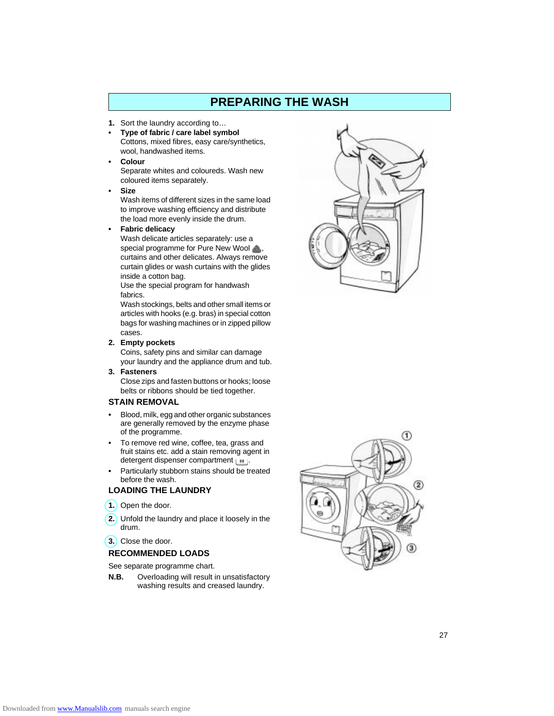# **PREPARING THE WASH**

- **1.** Sort the laundry according to…
- **Type of fabric / care label symbol** Cottons, mixed fibres, easy care/synthetics, wool, handwashed items.
- **Colour** Separate whites and coloureds. Wash new coloured items separately.

### **• Size**

Wash items of different sizes in the same load to improve washing efficiency and distribute the load more evenly inside the drum.

**• Fabric delicacy**

Wash delicate articles separately: use a special programme for Pure New Wool curtains and other delicates. Always remove curtain glides or wash curtains with the glides inside a cotton bag.

Use the special program for handwash fabrics.

Wash stockings, belts and other small items or articles with hooks (e.g. bras) in special cotton bags for washing machines or in zipped pillow cases.

**2. Empty pockets**

Coins, safety pins and similar can damage your laundry and the appliance drum and tub.

**3. Fasteners** Close zips and fasten buttons or hooks; loose belts or ribbons should be tied together.

### **STAIN REMOVAL**

- **•** Blood, milk, egg and other organic substances are generally removed by the enzyme phase of the programme.
- **•** To remove red wine, coffee, tea, grass and fruit stains etc. add a stain removing agent in detergent dispenser compartment  $\Box$ .
- **•** Particularly stubborn stains should be treated before the wash.

### **LOADING THE LAUNDRY**

- **1.** Open the door.
- **2.** Unfold the laundry and place it loosely in the drum.
- **3.** Close the door.

### **RECOMMENDED LOADS**

See separate programme chart.

**N.B.** Overloading will result in unsatisfactory washing results and creased laundry.



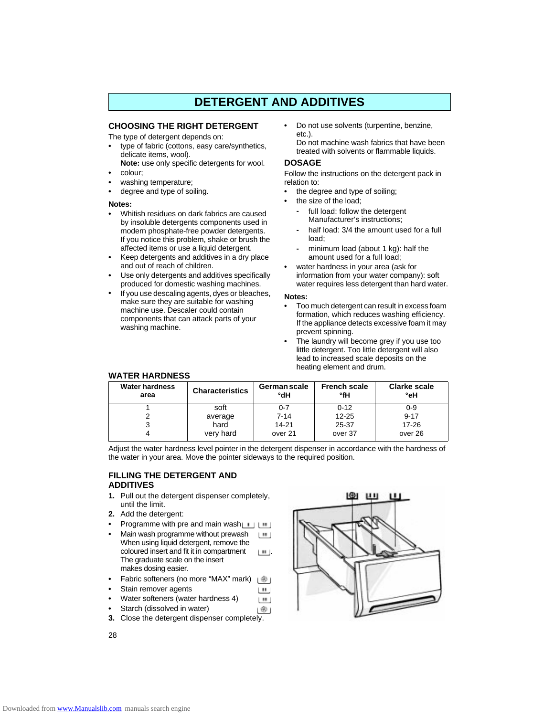# **DETERGENT AND ADDITIVES**

### **CHOOSING THE RIGHT DETERGENT**

The type of detergent depends on:

- **•** type of fabric (cottons, easy care/synthetics, delicate items, wool).
- **Note:** use only specific detergents for wool. **•** colour;
- 
- **•** washing temperature; **•** degree and type of soiling.
- 

### **Notes:**

- **•** Whitish residues on dark fabrics are caused by insoluble detergents components used in modern phosphate-free powder detergents. If you notice this problem, shake or brush the affected items or use a liquid detergent.
- **•** Keep detergents and additives in a dry place and out of reach of children.
- **•** Use only detergents and additives specifically produced for domestic washing machines.
- **•** If you use descaling agents, dyes or bleaches, make sure they are suitable for washing machine use. Descaler could contain components that can attack parts of your washing machine.
- **•** Do not use solvents (turpentine, benzine, etc.).
	- Do not machine wash fabrics that have been treated with solvents or flammable liquids.

### **DOSAGE**

Follow the instructions on the detergent pack in relation to:

- **•** the degree and type of soiling;
- **•** the size of the load;
	- **-** full load: follow the detergent Manufacturer's instructions;
	- **-** half load: 3/4 the amount used for a full load;
	- **-** minimum load (about 1 kg): half the amount used for a full load;
- **•** water hardness in your area (ask for information from your water company): soft water requires less detergent than hard water.

#### **Notes:**

- **•** Too much detergent can result in excess foam formation, which reduces washing efficiency. If the appliance detects excessive foam it may prevent spinning.
- **•** The laundry will become grey if you use too little detergent. Too little detergent will also lead to increased scale deposits on the heating element and drum.

over 26

over 37

| <b>Water hardness</b><br>area | <b>Characteristics</b> | <b>German scale</b><br>°dH | <b>French scale</b><br>°fH | <b>Clarke scale</b><br>°eH |  |  |
|-------------------------------|------------------------|----------------------------|----------------------------|----------------------------|--|--|
|                               | soft                   | $0 - 7$                    | $0 - 12$                   | $0 - 9$                    |  |  |
|                               | average                | 7-14                       | $12 - 25$                  | $9 - 17$                   |  |  |
|                               | hard                   | 14-21                      | 25-37                      | $17 - 26$                  |  |  |

Adjust the water hardness level pointer in the detergent dispenser in accordance with the hardness of the water in your area. Move the pointer sideways to the required position.

> LH<sub>1</sub>  $\mathbf{H}$

over 21

### **FILLING THE DETERGENT AND ADDITIVES**

**1.** Pull out the detergent dispenser completely, until the limit.

very hard

**2.** Add the detergent:

**WATER HARDNESS**

4

- **Programme with pre and main wash**
- **•** Main wash programme without prewash L. H. When using liquid detergent, remove the coloured insert and fit it in compartment  $\Box$ The graduate scale on the insert makes dosing easier.
- **•** Fabric softeners (no more "MAX" mark) լ⊛յ
- **•** Stain remover agents
- **•** Water softeners (water hardness 4)
- **•** Starch (dissolved in water) ம
- **3.** Close the detergent dispenser completely.

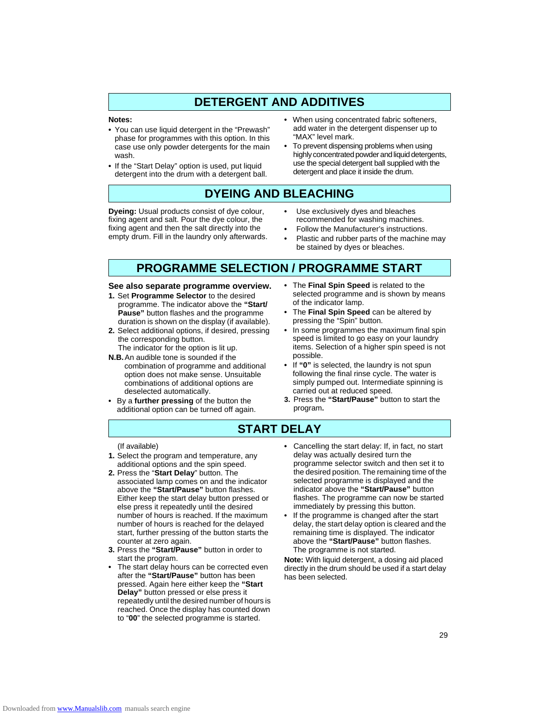# **DETERGENT AND ADDITIVES**

#### **Notes:**

- **•** You can use liquid detergent in the "Prewash" phase for programmes with this option. In this case use only powder detergents for the main wash.
- **•** If the "Start Delay" option is used, put liquid detergent into the drum with a detergent ball.
- **•** When using concentrated fabric softeners, add water in the detergent dispenser up to "MAX" level mark.
- **•** To prevent dispensing problems when using highly concentrated powder and liquid detergents, use the special detergent ball supplied with the detergent and place it inside the drum.

# **DYEING AND BLEACHING**

**Dyeing:** Usual products consist of dye colour, fixing agent and salt. Pour the dye colour, the fixing agent and then the salt directly into the empty drum. Fill in the laundry only afterwards.

- **•** Use exclusively dyes and bleaches recommended for washing machines.
- **•** Follow the Manufacturer's instructions.
- **•** Plastic and rubber parts of the machine may be stained by dyes or bleaches.

# **PROGRAMME SELECTION / PROGRAMME START**

#### **See also separate programme overview.**

- **1.** Set **Programme Selector** to the desired programme. The indicator above the **"Start/ Pause"** button flashes and the programme duration is shown on the display (if available).
- **2.** Select additional options, if desired, pressing the corresponding button.
	- The indicator for the option is lit up.
- **N.B.**An audible tone is sounded if the combination of programme and additional option does not make sense. Unsuitable combinations of additional options are deselected automatically.
- **•** By a **further pressing** of the button the additional option can be turned off again.
- **•** The **Final Spin Speed** is related to the selected programme and is shown by means of the indicator lamp.
- **•** The **Final Spin Speed** can be altered by pressing the "Spin" button.
- **•** In some programmes the maximum final spin speed is limited to go easy on your laundry items. Selection of a higher spin speed is not possible.
- **•** If **"0"** is selected, the laundry is not spun following the final rinse cycle. The water is simply pumped out. Intermediate spinning is carried out at reduced speed.
- **3.** Press the **"Start/Pause"** button to start the program**.**

### **START DELAY**

### (If available)

- **1.** Select the program and temperature, any additional options and the spin speed.
- **2.** Press the "**Start Delay**" button. The associated lamp comes on and the indicator above the **"Start/Pause"** button flashes. Either keep the start delay button pressed or else press it repeatedly until the desired number of hours is reached. If the maximum number of hours is reached for the delayed start, further pressing of the button starts the counter at zero again.
- **3.** Press the **"Start/Pause"** button in order to start the program.
- **•** The start delay hours can be corrected even after the **"Start/Pause"** button has been pressed. Again here either keep the **"Start Delay"** button pressed or else press it repeatedly until the desired number of hours is reached. Once the display has counted down to "**00**" the selected programme is started.
- **•** Cancelling the start delay: If, in fact, no start delay was actually desired turn the programme selector switch and then set it to the desired position. The remaining time of the selected programme is displayed and the indicator above the **"Start/Pause"** button flashes. The programme can now be started immediately by pressing this button.
- **•** If the programme is changed after the start delay, the start delay option is cleared and the remaining time is displayed. The indicator above the **"Start/Pause"** button flashes. The programme is not started.

**Note:** With liquid detergent, a dosing aid placed directly in the drum should be used if a start delay has been selected.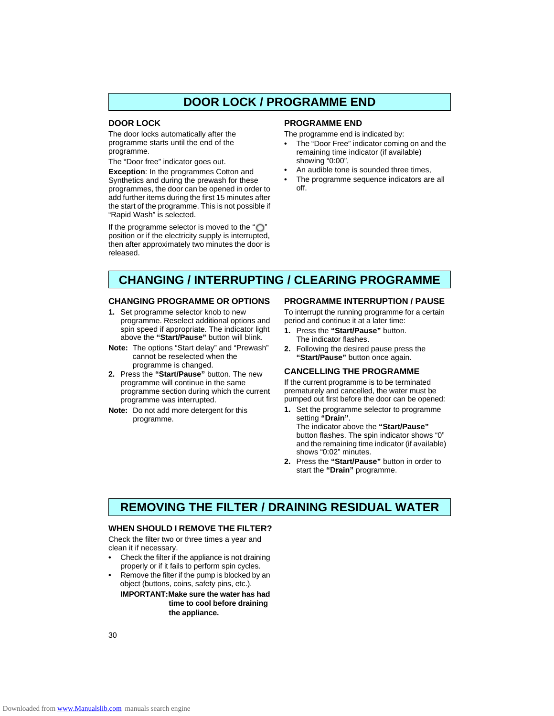# **DOOR LOCK / PROGRAMME END**

### **DOOR LOCK**

The door locks automatically after the programme starts until the end of the programme.

The "Door free" indicator goes out.

**Exception**: In the programmes Cotton and Synthetics and during the prewash for these programmes, the door can be opened in order to add further items during the first 15 minutes after the start of the programme. This is not possible if "Rapid Wash" is selected.

If the programme selector is moved to the " $\bigcirc$ " position or if the electricity supply is interrupted, then after approximately two minutes the door is released.

### **PROGRAMME END**

The programme end is indicated by:

- **•** The "Door Free" indicator coming on and the remaining time indicator (if available) showing "0:00",
- **•** An audible tone is sounded three times,
- **•** The programme sequence indicators are all off.

# **CHANGING / INTERRUPTING / CLEARING PROGRAMME**

### **CHANGING PROGRAMME OR OPTIONS**

- **1.** Set programme selector knob to new programme. Reselect additional options and spin speed if appropriate. The indicator light above the **"Start/Pause"** button will blink.
- **Note:** The options "Start delay" and "Prewash" cannot be reselected when the programme is changed.
- **2.** Press the **"Start/Pause"** button. The new programme will continue in the same programme section during which the current programme was interrupted.
- **Note:** Do not add more detergent for this programme.

### **PROGRAMME INTERRUPTION / PAUSE**

To interrupt the running programme for a certain period and continue it at a later time:

- **1.** Press the **"Start/Pause"** button. The indicator flashes.
- **2.** Following the desired pause press the **"Start/Pause"** button once again.

### **CANCELLING THE PROGRAMME**

If the current programme is to be terminated prematurely and cancelled, the water must be pumped out first before the door can be opened:

- **1.** Set the programme selector to programme setting **"Drain"**. The indicator above the **"Start/Pause"** button flashes. The spin indicator shows "0" and the remaining time indicator (if available) shows "0:02" minutes.
- **2.** Press the **"Start/Pause"** button in order to start the **"Drain"** programme.

### **REMOVING THE FILTER / DRAINING RESIDUAL WATER**

### **WHEN SHOULD I REMOVE THE FILTER?**

Check the filter two or three times a year and clean it if necessary.

- **•** Check the filter if the appliance is not draining properly or if it fails to perform spin cycles.
- **•** Remove the filter if the pump is blocked by an object (buttons, coins, safety pins, etc.).

**IMPORTANT:Make sure the water has had time to cool before draining the appliance.**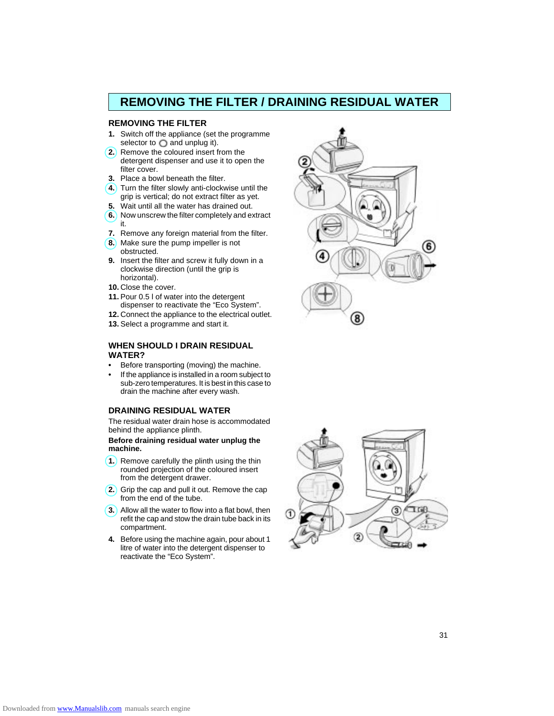# **REMOVING THE FILTER / DRAINING RESIDUAL WATER**

### **REMOVING THE FILTER**

- **1.** Switch off the appliance (set the programme selector to  $\bigcirc$  and unplug it).
- **2.** Remove the coloured insert from the detergent dispenser and use it to open the filter cover.
- **3.** Place a bowl beneath the filter.
- **4.** Turn the filter slowly anti-clockwise until the grip is vertical; do not extract filter as yet.
- **5.** Wait until all the water has drained out.
- **6.** Now unscrew the filter completely and extract it.
- **7.** Remove any foreign material from the filter.
- **8.** Make sure the pump impeller is not obstructed.
- **9.** Insert the filter and screw it fully down in a clockwise direction (until the grip is horizontal).
- **10.** Close the cover.
- **11.** Pour 0.5 l of water into the detergent dispenser to reactivate the "Eco System".
- **12.** Connect the appliance to the electrical outlet.
- **13.** Select a programme and start it.

### **WHEN SHOULD I DRAIN RESIDUAL WATER?**

- **•** Before transporting (moving) the machine.
- **•** If the appliance is installed in a room subject to sub-zero temperatures. It is best in this case to drain the machine after every wash.

### **DRAINING RESIDUAL WATER**

The residual water drain hose is accommodated behind the appliance plinth.

### **Before draining residual water unplug the machine.**

- **1.** Remove carefully the plinth using the thin rounded projection of the coloured insert from the detergent drawer.
- **2.** Grip the cap and pull it out. Remove the cap from the end of the tube.
- **3.** Allow all the water to flow into a flat bowl, then refit the cap and stow the drain tube back in its compartment.
- **4.** Before using the machine again, pour about 1 litre of water into the detergent dispenser to reactivate the "Eco System".



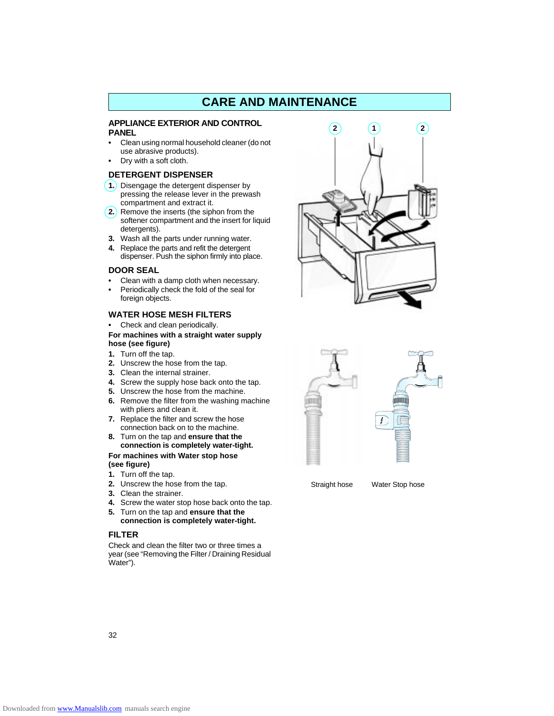### **CARE AND MAINTENANCE**

### **APPLIANCE EXTERIOR AND CONTROL PANEL**

- **•** Clean using normal household cleaner (do not use abrasive products).
- **•** Dry with a soft cloth.

### **DETERGENT DISPENSER**

- **1.** Disengage the detergent dispenser by pressing the release lever in the prewash compartment and extract it.
- **2.** Remove the inserts (the siphon from the softener compartment and the insert for liquid detergents).
- **3.** Wash all the parts under running water.
- **4.** Replace the parts and refit the detergent dispenser. Push the siphon firmly into place.

### **DOOR SEAL**

- **•** Clean with a damp cloth when necessary. **•** Periodically check the fold of the seal for
- foreign objects.

### **WATER HOSE MESH FILTERS**

**•** Check and clean periodically.

### **For machines with a straight water supply hose (see figure)**

- **1.** Turn off the tap.
- **2.** Unscrew the hose from the tap.
- **3.** Clean the internal strainer.
- **4.** Screw the supply hose back onto the tap.
- **5.** Unscrew the hose from the machine.
- **6.** Remove the filter from the washing machine with pliers and clean it.
- **7.** Replace the filter and screw the hose connection back on to the machine.
- **8.** Turn on the tap and **ensure that the connection is completely water-tight.**

### **For machines with Water stop hose (see figure)**

- **1.** Turn off the tap.
- **2.** Unscrew the hose from the tap.
- **3.** Clean the strainer.
- **4.** Screw the water stop hose back onto the tap.
- **5.** Turn on the tap and **ensure that the connection is completely water-tight.**

### **FILTER**

Check and clean the filter two or three times a year (see "Removing the Filter / Draining Residual Water").





Straight hose Water Stop hose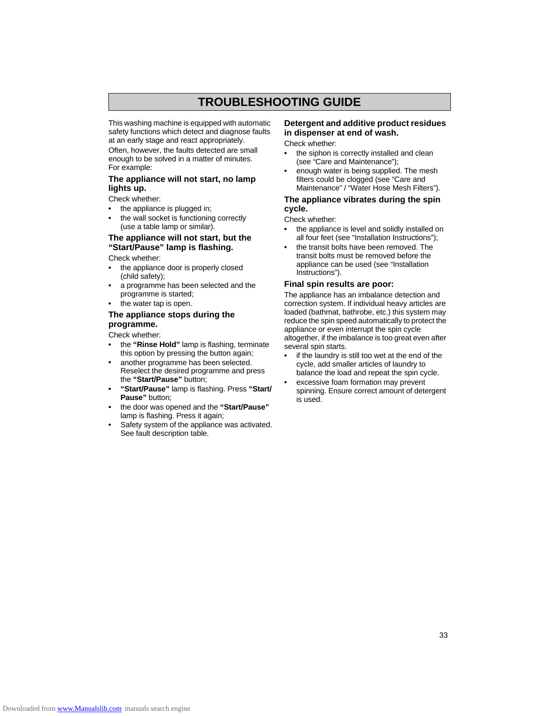# **TROUBLESHOOTING GUIDE**

This washing machine is equipped with automatic safety functions which detect and diagnose faults at an early stage and react appropriately.

Often, however, the faults detected are small enough to be solved in a matter of minutes. For example:

### **The appliance will not start, no lamp lights up.**

Check whether:

- **•** the appliance is plugged in;
- **•** the wall socket is functioning correctly (use a table lamp or similar).

### **The appliance will not start, but the "Start/Pause" lamp is flashing.**

Check whether:

- **•** the appliance door is properly closed (child safety);
- **•** a programme has been selected and the programme is started;
- **•** the water tap is open.

### **The appliance stops during the programme.**

Check whether:

- **•** the **"Rinse Hold"** lamp is flashing, terminate this option by pressing the button again;
- **•** another programme has been selected. Reselect the desired programme and press the **"Start/Pause"** button;
- **"Start/Pause"** lamp is flashing. Press **"Start/ Pause"** button;
- **•** the door was opened and the **"Start/Pause"** lamp is flashing. Press it again;
- Safety system of the appliance was activated. See fault description table.

### **Detergent and additive product residues in dispenser at end of wash.**

Check whether:

- **•** the siphon is correctly installed and clean (see "Care and Maintenance");
- **•** enough water is being supplied. The mesh filters could be clogged (see "Care and Maintenance" / "Water Hose Mesh Filters").

### **The appliance vibrates during the spin cycle.**

Check whether:

- **•** the appliance is level and solidly installed on all four feet (see "Installation Instructions");
- **•** the transit bolts have been removed. The transit bolts must be removed before the appliance can be used (see "Installation Instructions").

### **Final spin results are poor:**

The appliance has an imbalance detection and correction system. If individual heavy articles are loaded (bathmat, bathrobe, etc.) this system may reduce the spin speed automatically to protect the appliance or even interrupt the spin cycle altogether, if the imbalance is too great even after several spin starts.

- **•** if the laundry is still too wet at the end of the cycle, add smaller articles of laundry to balance the load and repeat the spin cycle.
- **•** excessive foam formation may prevent spinning. Ensure correct amount of detergent is used.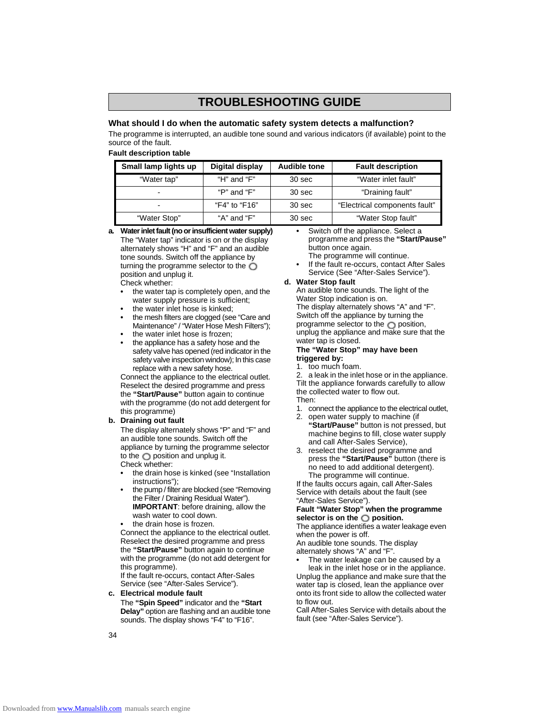# **TROUBLESHOOTING GUIDE**

### **What should I do when the automatic safety system detects a malfunction?**

The programme is interrupted, an audible tone sound and various indicators (if available) point to the source of the fault.

### **Fault description table**

| Small lamp lights up | Digital display | <b>Audible tone</b> | <b>Fault description</b>      |
|----------------------|-----------------|---------------------|-------------------------------|
| "Water tap"          | "H" and "F"     | 30 sec              | "Water inlet fault"           |
| $\blacksquare$       | "P" and "F"     | 30 sec              | "Draining fault"              |
| $\blacksquare$       | "F4" to "F16"   | 30 sec              | "Electrical components fault" |
| "Water Stop"         | "A" and "F"     | 30 sec              | "Water Stop fault"            |

**a. Water inlet fault (no or insufficient water supply)** The "Water tap" indicator is on or the display alternately shows "H" and "F" and an audible tone sounds. Switch off the appliance by turning the programme selector to the  $\bigcirc$ position and unplug it.

- Check whether: **•** the water tap is completely open, and the water supply pressure is sufficient;
- **•** the water inlet hose is kinked;
- **•** the mesh filters are clogged (see "Care and Maintenance" / "Water Hose Mesh Filters");
- **•** the water inlet hose is frozen;
- **•** the appliance has a safety hose and the safety valve has opened (red indicator in the safety valve inspection window); In this case replace with a new safety hose.

Connect the appliance to the electrical outlet. Reselect the desired programme and press the **"Start/Pause"** button again to continue with the programme (do not add detergent for this programme)

### **b. Draining out fault**

The display alternately shows "P" and "F" and an audible tone sounds. Switch off the appliance by turning the programme selector to the  $\bigcirc$  position and unplug it. Check whether:

- **•** the drain hose is kinked (see "Installation instructions");
- **•** the pump / filter are blocked (see "Removing the Filter / Draining Residual Water"). **IMPORTANT**: before draining, allow the wash water to cool down.
- **•** the drain hose is frozen.

Connect the appliance to the electrical outlet. Reselect the desired programme and press the **"Start/Pause"** button again to continue with the programme (do not add detergent for this programme).

If the fault re-occurs, contact After-Sales Service (see "After-Sales Service").

**c. Electrical module fault** The **"Spin Speed"** indicator and the **"Start Delay"** option are flashing and an audible tone sounds. The display shows "F4" to "F16".

- **•** Switch off the appliance. Select a programme and press the **"Start/Pause"** button once again. The programme will continue.
- **•** If the fault re-occurs, contact After Sales Service (See "After-Sales Service").
- **d. Water Stop fault**

An audible tone sounds. The light of the Water Stop indication is on. The display alternately shows "A" and "F". Switch off the appliance by turning the programme selector to the  $\bigcirc$  position, unplug the appliance and make sure that the water tap is closed.

### **The "Water Stop" may have been triggered by:**

1. too much foam.

2. a leak in the inlet hose or in the appliance. Tilt the appliance forwards carefully to allow the collected water to flow out. Then:

- 
- 1. connect the appliance to the electrical outlet,
- 2. open water supply to machine (if **"Start/Pause"** button is not pressed, but machine begins to fill, close water supply and call After-Sales Service),
- 3. reselect the desired programme and press the **"Start/Pause"** button (there is no need to add additional detergent). The programme will continue.

If the faults occurs again, call After-Sales Service with details about the fault (see "After-Sales Service").

### **Fault "Water Stop" when the programme**  selector is on the  $\bigcirc$  position.

The appliance identifies a water leakage even when the power is off.

An audible tone sounds. The display alternately shows "A" and "F".

**•** The water leakage can be caused by a leak in the inlet hose or in the appliance. Unplug the appliance and make sure that the water tap is closed, lean the appliance over onto its front side to allow the collected water to flow out.

Call After-Sales Service with details about the fault (see "After-Sales Service").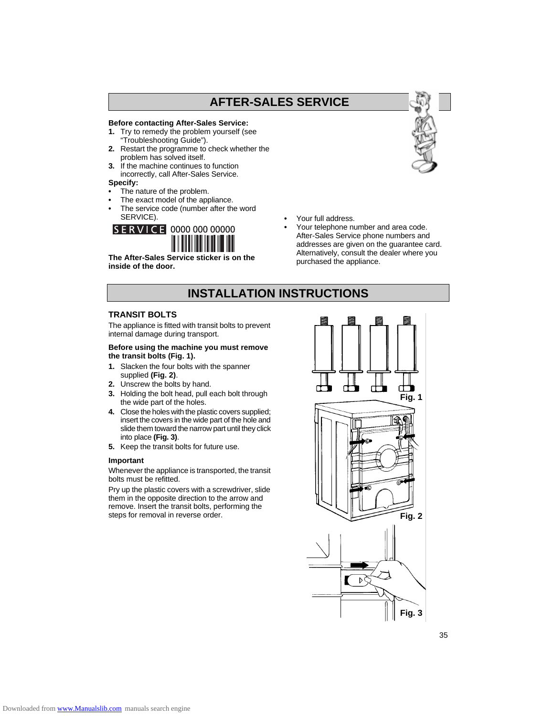# **AFTER-SALES SERVICE**

### **Before contacting After-Sales Service:**

- **1.** Try to remedy the problem yourself (see "Troubleshooting Guide").
- **2.** Restart the programme to check whether the problem has solved itself.
- **3.** If the machine continues to function incorrectly, call After-Sales Service.

### **Specify:**

- **•** The nature of the problem.
- **•** The exact model of the appliance.
- **•** The service code (number after the word SERVICE).

# SERVICE 0000 000 00000



**inside of the door.**

- **•** Your full address.
- **•** Your telephone number and area code. After-Sales Service phone numbers and addresses are given on the guarantee card. Alternatively, consult the dealer where you purchased the appliance.

### **INSTALLATION INSTRUCTIONS**

### **TRANSIT BOLTS**

The appliance is fitted with transit bolts to prevent internal damage during transport.

### **Before using the machine you must remove the transit bolts (Fig. 1).**

- **1.** Slacken the four bolts with the spanner supplied **(Fig. 2)**.
- **2.** Unscrew the bolts by hand.
- **3.** Holding the bolt head, pull each bolt through the wide part of the holes.
- **4.** Close the holes with the plastic covers supplied; insert the covers in the wide part of the hole and slide them toward the narrow part until they click into place **(Fig. 3)**.
- **5.** Keep the transit bolts for future use.

### **Important**

Whenever the appliance is transported, the transit bolts must be refitted.

Pry up the plastic covers with a screwdriver, slide them in the opposite direction to the arrow and remove. Insert the transit bolts, performing the steps for removal in reverse order.



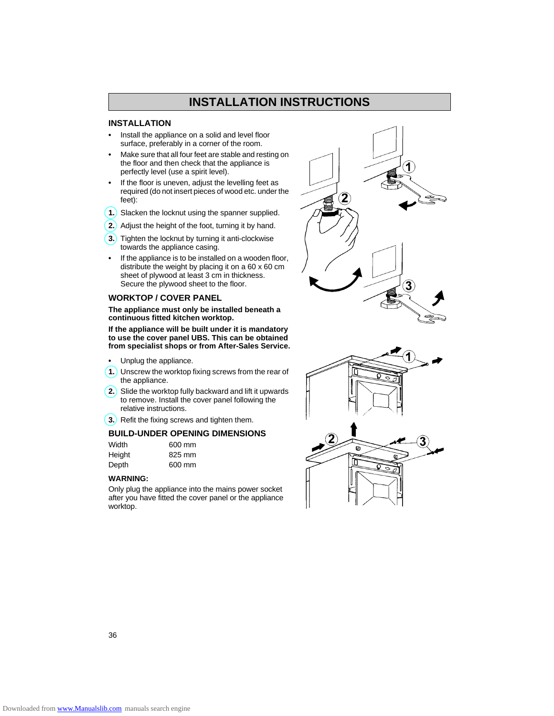# **INSTALLATION INSTRUCTIONS**

### **INSTALLATION**

- **•** Install the appliance on a solid and level floor surface, preferably in a corner of the room.
- **•** Make sure that all four feet are stable and resting on the floor and then check that the appliance is perfectly level (use a spirit level).
- **•** If the floor is uneven, adjust the levelling feet as required (do not insert pieces of wood etc. under the feet):
- **1.** Slacken the locknut using the spanner supplied.
- **2.** Adjust the height of the foot, turning it by hand.
- **3.** Tighten the locknut by turning it anti-clockwise towards the appliance casing.
- **•** If the appliance is to be installed on a wooden floor, distribute the weight by placing it on a 60 x 60 cm sheet of plywood at least 3 cm in thickness. Secure the plywood sheet to the floor.

### **WORKTOP / COVER PANEL**

**The appliance must only be installed beneath a continuous fitted kitchen worktop.**

**If the appliance will be built under it is mandatory to use the cover panel UBS. This can be obtained from specialist shops or from After-Sales Service.**

- **•** Unplug the appliance.
- **1.** Unscrew the worktop fixing screws from the rear of the appliance.
- **2.** Slide the worktop fully backward and lift it upwards to remove. Install the cover panel following the relative instructions.
- **3.** Refit the fixing screws and tighten them.

### **BUILD-UNDER OPENING DIMENSIONS**

| Width  | 600 mm |
|--------|--------|
| Height | 825 mm |
| Depth  | 600 mm |

### **WARNING:**

Only plug the appliance into the mains power socket after you have fitted the cover panel or the appliance worktop.



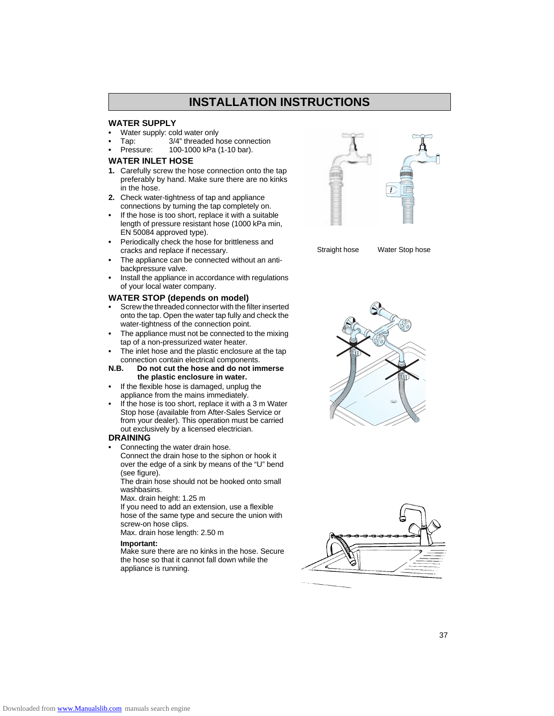### **INSTALLATION INSTRUCTIONS**

### **WATER SUPPLY**

- **•** Water supply: cold water only
- **•** Tap: 3/4" threaded hose connection
- **•** Pressure: 100-1000 kPa (1-10 bar).

### **WATER INLET HOSE**

- **1.** Carefully screw the hose connection onto the tap preferably by hand. Make sure there are no kinks in the hose.
- **2.** Check water-tightness of tap and appliance connections by turning the tap completely on.
- **•** If the hose is too short, replace it with a suitable length of pressure resistant hose (1000 kPa min, EN 50084 approved type).
- **•** Periodically check the hose for brittleness and cracks and replace if necessary.
- **•** The appliance can be connected without an antibackpressure valve.
- **•** Install the appliance in accordance with regulations of your local water company.

#### **WATER STOP (depends on model)**

- **•** Screw the threaded connector with the filter inserted onto the tap. Open the water tap fully and check the water-tightness of the connection point.
- **•** The appliance must not be connected to the mixing tap of a non-pressurized water heater.
- **•** The inlet hose and the plastic enclosure at the tap connection contain electrical components.<br>**N.B.** Do not cut the hose and do not im
- **N.B. Do not cut the hose and do not immerse the plastic enclosure in water.**
- **•** If the flexible hose is damaged, unplug the appliance from the mains immediately.
- **•** If the hose is too short, replace it with a 3 m Water Stop hose (available from After-Sales Service or from your dealer). This operation must be carried out exclusively by a licensed electrician.

### **DRAINING**

**•** Connecting the water drain hose.

Connect the drain hose to the siphon or hook it over the edge of a sink by means of the "U" bend (see figure).

The drain hose should not be hooked onto small washbasins.

Max. drain height: 1.25 m

If you need to add an extension, use a flexible hose of the same type and secure the union with screw-on hose clips.

Max. drain hose length: 2.50 m

### **Important:**

Make sure there are no kinks in the hose. Secure the hose so that it cannot fall down while the appliance is running.



Straight hose Water Stop hose